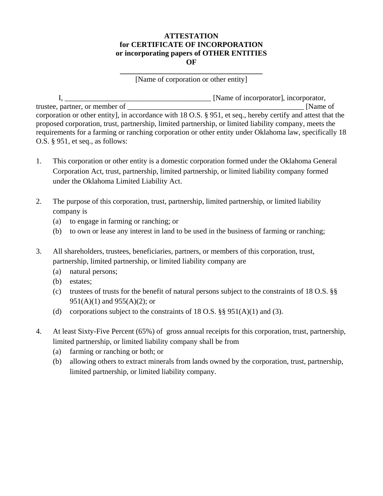## **ATTESTATION for CERTIFICATE OF INCORPORATION or incorporating papers of OTHER ENTITIES OF**

**\_\_\_\_\_\_\_\_\_\_\_\_\_\_\_\_\_\_\_\_\_\_\_\_\_\_\_\_\_\_\_\_\_\_\_\_\_\_**  [Name of corporation or other entity]

 I, \_\_\_\_\_\_\_\_\_\_\_\_\_\_\_\_\_\_\_\_\_\_\_\_\_\_\_\_\_\_\_\_\_\_\_\_\_\_\_ [Name of incorporator], incorporator, trustee, partner, or member of \_\_\_\_\_\_\_\_\_\_\_\_\_\_\_\_\_\_\_\_\_\_\_\_\_\_\_\_\_\_\_\_\_\_\_\_\_\_\_\_\_\_\_\_\_\_\_ [Name of corporation or other entity], in accordance with 18 O.S. § 951, et seq., hereby certify and attest that the proposed corporation, trust, partnership, limited partnership, or limited liability company, meets the requirements for a farming or ranching corporation or other entity under Oklahoma law, specifically 18 O.S. § 951, et seq., as follows:

- 1. This corporation or other entity is a domestic corporation formed under the Oklahoma General Corporation Act, trust, partnership, limited partnership, or limited liability company formed under the Oklahoma Limited Liability Act.
- 2. The purpose of this corporation, trust, partnership, limited partnership, or limited liability company is
	- (a) to engage in farming or ranching; or
	- (b) to own or lease any interest in land to be used in the business of farming or ranching;
- 3. All shareholders, trustees, beneficiaries, partners, or members of this corporation, trust, partnership, limited partnership, or limited liability company are
	- (a) natural persons;
	- (b) estates;
	- (c) trustees of trusts for the benefit of natural persons subject to the constraints of 18 O.S. §§ 951(A)(1) and 955(A)(2); or
	- (d) corporations subject to the constraints of 18 O.S.  $\S$ § 951(A)(1) and (3).
- 4. At least Sixty-Five Percent (65%) of gross annual receipts for this corporation, trust, partnership, limited partnership, or limited liability company shall be from
	- (a) farming or ranching or both; or
	- (b) allowing others to extract minerals from lands owned by the corporation, trust, partnership, limited partnership, or limited liability company.